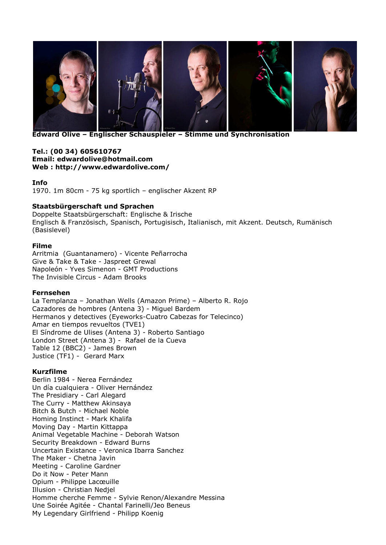

**Edward Olive – Englischer Schauspieler – Stimme und Synchronisation**

#### **Tel.: [\(00 34\) 605610767](tel:605610767) Email: [edwardolive@hotmail.com](mailto:edwardolive@hotmail.com) Web :<http://www.edwardolive.com/>**

# **Info**

1970. 1m 80cm - 75 kg sportlich – englischer Akzent RP

# **Staatsbürgerschaft und Sprachen**

Doppelte Staatsbürgerschaft: Englische & Irische Englisch & Französisch, Spanisch, Portugisisch, Italianisch, mit Akzent. Deutsch, Rumänisch (Basislevel)

# **Filme**

Arritmia (Guantanamero) - Vicente Peñarrocha Give & Take & Take - Jaspreet Grewal Napoleón - Yves Simenon - GMT Productions The Invisible Circus - Adam Brooks

## **Fernsehen**

La Templanza – Jonathan Wells (Amazon Prime) – Alberto R. Rojo Cazadores de hombres (Antena 3) - Miguel Bardem Hermanos y detectives (Eyeworks-Cuatro Cabezas for Telecinco) Amar en tiempos revueltos (TVE1) El Síndrome de Ulises (Antena 3) - Roberto Santiago London Street (Antena 3) - Rafael de la Cueva Table 12 (BBC2) - James Brown Justice (TF1) - Gerard Marx

## **Kurzfilme**

Berlin 1984 - Nerea Fernández Un día cualquiera - Oliver Hernández The Presidiary - Carl Alegard The Curry - Matthew Akinsaya Bitch & Butch - Michael Noble Homing Instinct - Mark Khalifa Moving Day - Martin Kittappa Animal Vegetable Machine - Deborah Watson Security Breakdown - Edward Burns Uncertain Existance - Veronica Ibarra Sanchez The Maker - Chetna Javin Meeting - Caroline Gardner Do it Now - Peter Mann Opium - Philippe Lacœuille Illusion - Christian Nedjel Homme cherche Femme - Sylvie Renon/Alexandre Messina Une Soirée Agitée - Chantal Farinelli/Jeo Beneus My Legendary Girlfriend - Philipp Koenig